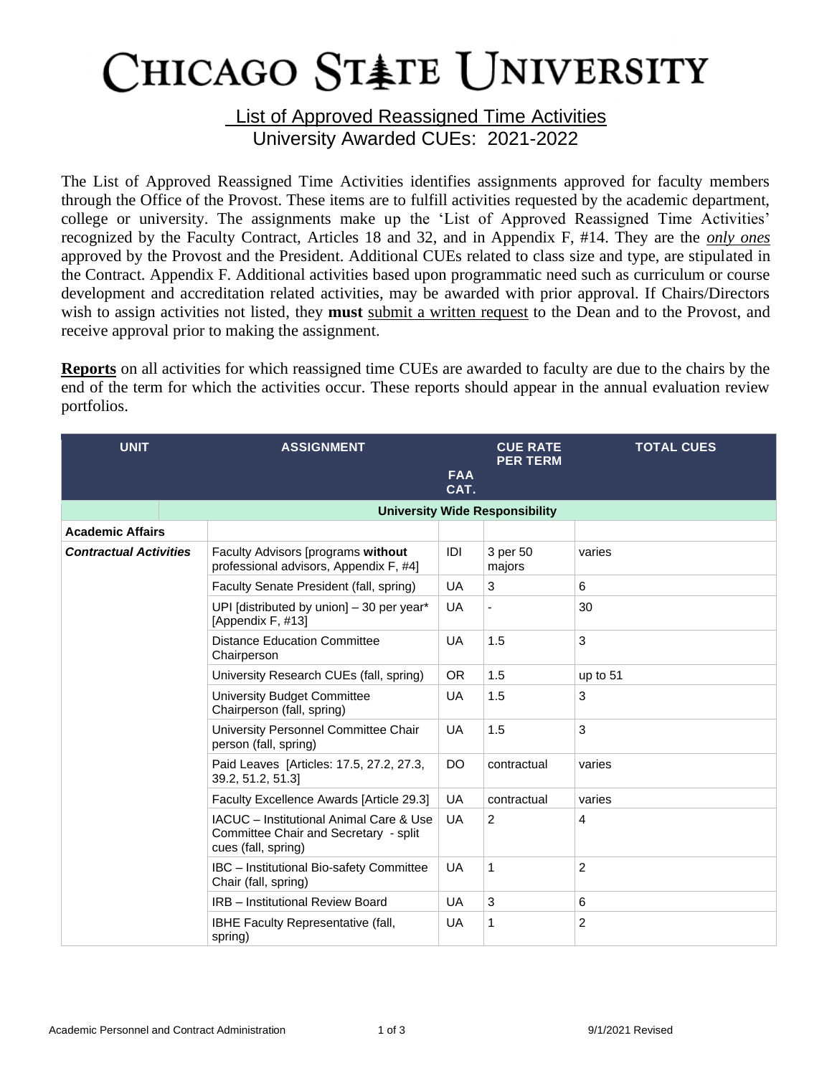## CHICAGO STATE UNIVERSITY

**List of Approved Reassigned Time Activities** University Awarded CUEs: 2021-2022

The List of Approved Reassigned Time Activities identifies assignments approved for faculty members through the Office of the Provost. These items are to fulfill activities requested by the academic department, college or university. The assignments make up the 'List of Approved Reassigned Time Activities' recognized by the Faculty Contract, Articles 18 and 32, and in Appendix F, #14. They are the *only ones* approved by the Provost and the President. Additional CUEs related to class size and type, are stipulated in the Contract. Appendix F. Additional activities based upon programmatic need such as curriculum or course development and accreditation related activities, may be awarded with prior approval. If Chairs/Directors wish to assign activities not listed, they **must** submit a written request to the Dean and to the Provost, and receive approval prior to making the assignment.

**Reports** on all activities for which reassigned time CUEs are awarded to faculty are due to the chairs by the end of the term for which the activities occur. These reports should appear in the annual evaluation review portfolios.

| <b>UNIT</b>                   | <b>ASSIGNMENT</b>                                                                                       | <b>FAA</b><br>CAT. | <b>CUE RATE</b><br><b>PER TERM</b> | <b>TOTAL CUES</b> |  |  |  |  |
|-------------------------------|---------------------------------------------------------------------------------------------------------|--------------------|------------------------------------|-------------------|--|--|--|--|
|                               | <b>University Wide Responsibility</b>                                                                   |                    |                                    |                   |  |  |  |  |
| <b>Academic Affairs</b>       |                                                                                                         |                    |                                    |                   |  |  |  |  |
| <b>Contractual Activities</b> | Faculty Advisors (programs without<br>professional advisors, Appendix F, #4]                            | IDI                | 3 per 50<br>majors                 | varies            |  |  |  |  |
|                               | Faculty Senate President (fall, spring)                                                                 | <b>UA</b>          | 3                                  | 6                 |  |  |  |  |
|                               | UPI [distributed by union] - 30 per year*<br>[Appendix F, #13]                                          | <b>UA</b>          |                                    | 30                |  |  |  |  |
|                               | <b>Distance Education Committee</b><br>Chairperson                                                      | <b>UA</b>          | 1.5                                | 3                 |  |  |  |  |
|                               | University Research CUEs (fall, spring)                                                                 | OR.                | 1.5                                | up to 51          |  |  |  |  |
|                               | University Budget Committee<br>Chairperson (fall, spring)                                               | <b>UA</b>          | 1.5                                | 3                 |  |  |  |  |
|                               | University Personnel Committee Chair<br>person (fall, spring)                                           | <b>UA</b>          | 1.5                                | 3                 |  |  |  |  |
|                               | Paid Leaves [Articles: 17.5, 27.2, 27.3,<br>39.2, 51.2, 51.3]                                           | DO                 | contractual                        | varies            |  |  |  |  |
|                               | Faculty Excellence Awards [Article 29.3]                                                                | <b>UA</b>          | contractual                        | varies            |  |  |  |  |
|                               | IACUC - Institutional Animal Care & Use<br>Committee Chair and Secretary - split<br>cues (fall, spring) | UA.                | $\overline{2}$                     | 4                 |  |  |  |  |
|                               | IBC - Institutional Bio-safety Committee<br>Chair (fall, spring)                                        | UA                 | 1                                  | $\overline{c}$    |  |  |  |  |
|                               | <b>IRB</b> - Institutional Review Board                                                                 | <b>UA</b>          | 3                                  | 6                 |  |  |  |  |
|                               | IBHE Faculty Representative (fall,<br>spring)                                                           | <b>UA</b>          | 1                                  | 2                 |  |  |  |  |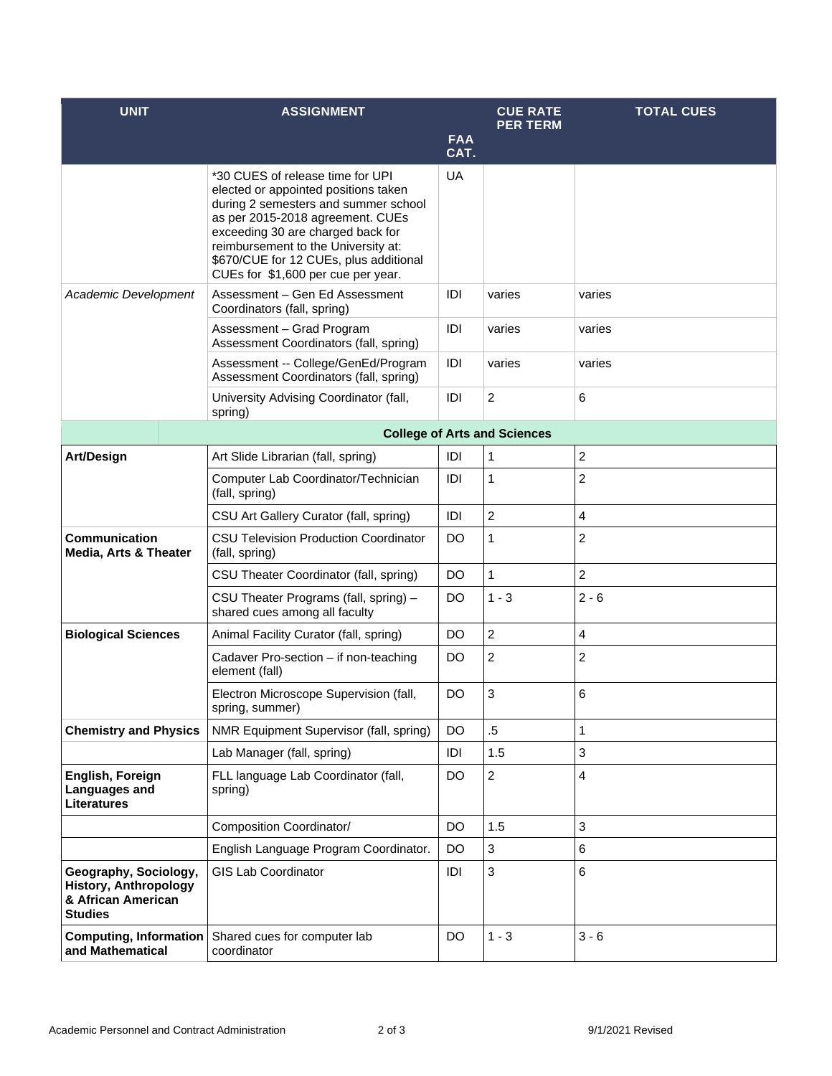| <b>UNIT</b>                                                                                   | <b>ASSIGNMENT</b>                                                                                                                                                                                                                                                                                                | <b>FAA</b> | <b>CUE RATE</b><br><b>PER TERM</b> | <b>TOTAL CUES</b> |  |  |  |
|-----------------------------------------------------------------------------------------------|------------------------------------------------------------------------------------------------------------------------------------------------------------------------------------------------------------------------------------------------------------------------------------------------------------------|------------|------------------------------------|-------------------|--|--|--|
|                                                                                               |                                                                                                                                                                                                                                                                                                                  | CAT.       |                                    |                   |  |  |  |
|                                                                                               | *30 CUES of release time for UPI<br>elected or appointed positions taken<br>during 2 semesters and summer school<br>as per 2015-2018 agreement. CUEs<br>exceeding 30 are charged back for<br>reimbursement to the University at:<br>\$670/CUE for 12 CUEs, plus additional<br>CUEs for \$1,600 per cue per year. | UA         |                                    |                   |  |  |  |
| Academic Development                                                                          | Assessment - Gen Ed Assessment<br>Coordinators (fall, spring)                                                                                                                                                                                                                                                    | IDI        | varies                             | varies            |  |  |  |
|                                                                                               | Assessment - Grad Program<br>Assessment Coordinators (fall, spring)                                                                                                                                                                                                                                              | IDI        | varies                             | varies            |  |  |  |
|                                                                                               | Assessment -- College/GenEd/Program<br>Assessment Coordinators (fall, spring)                                                                                                                                                                                                                                    | IDI        | varies                             | varies            |  |  |  |
|                                                                                               | University Advising Coordinator (fall,<br>spring)                                                                                                                                                                                                                                                                | IDI        | $\overline{2}$                     | 6                 |  |  |  |
|                                                                                               | <b>College of Arts and Sciences</b>                                                                                                                                                                                                                                                                              |            |                                    |                   |  |  |  |
| <b>Art/Design</b>                                                                             | Art Slide Librarian (fall, spring)                                                                                                                                                                                                                                                                               | IDI        | 1                                  | 2                 |  |  |  |
|                                                                                               | Computer Lab Coordinator/Technician<br>(fall, spring)                                                                                                                                                                                                                                                            | IDI        | $\mathbf{1}$                       | $\overline{c}$    |  |  |  |
|                                                                                               | CSU Art Gallery Curator (fall, spring)                                                                                                                                                                                                                                                                           | IDI        | $\overline{c}$                     | 4                 |  |  |  |
| <b>Communication</b><br>Media, Arts & Theater                                                 | <b>CSU Television Production Coordinator</b><br>(fall, spring)                                                                                                                                                                                                                                                   | DO.        | 1                                  | $\overline{c}$    |  |  |  |
|                                                                                               | CSU Theater Coordinator (fall, spring)                                                                                                                                                                                                                                                                           | <b>DO</b>  | $\mathbf{1}$                       | 2                 |  |  |  |
|                                                                                               | CSU Theater Programs (fall, spring) -<br>shared cues among all faculty                                                                                                                                                                                                                                           | <b>DO</b>  | $1 - 3$                            | $2 - 6$           |  |  |  |
| <b>Biological Sciences</b>                                                                    | Animal Facility Curator (fall, spring)                                                                                                                                                                                                                                                                           | <b>DO</b>  | $\overline{c}$                     | 4                 |  |  |  |
|                                                                                               | Cadaver Pro-section - if non-teaching<br>element (fall)                                                                                                                                                                                                                                                          | DO         | $\overline{\mathbf{c}}$            | 2                 |  |  |  |
|                                                                                               | Electron Microscope Supervision (fall,<br>spring, summer)                                                                                                                                                                                                                                                        | <b>DO</b>  | 3                                  | 6                 |  |  |  |
| <b>Chemistry and Physics</b>                                                                  | NMR Equipment Supervisor (fall, spring)                                                                                                                                                                                                                                                                          | <b>DO</b>  | $.5\,$                             | 1                 |  |  |  |
|                                                                                               | Lab Manager (fall, spring)                                                                                                                                                                                                                                                                                       | IDI        | 1.5                                | 3                 |  |  |  |
| English, Foreign<br>Languages and<br><b>Literatures</b>                                       | FLL language Lab Coordinator (fall,<br>spring)                                                                                                                                                                                                                                                                   | DO         | $\overline{c}$                     | 4                 |  |  |  |
|                                                                                               | Composition Coordinator/                                                                                                                                                                                                                                                                                         | DO.        | 1.5                                | 3                 |  |  |  |
|                                                                                               | English Language Program Coordinator.                                                                                                                                                                                                                                                                            | <b>DO</b>  | 3                                  | 6                 |  |  |  |
| Geography, Sociology,<br><b>History, Anthropology</b><br>& African American<br><b>Studies</b> | <b>GIS Lab Coordinator</b>                                                                                                                                                                                                                                                                                       | IDI        | 3                                  | 6                 |  |  |  |
| <b>Computing, Information</b><br>and Mathematical                                             | Shared cues for computer lab<br>coordinator                                                                                                                                                                                                                                                                      | DO.        | $1 - 3$                            | $3 - 6$           |  |  |  |